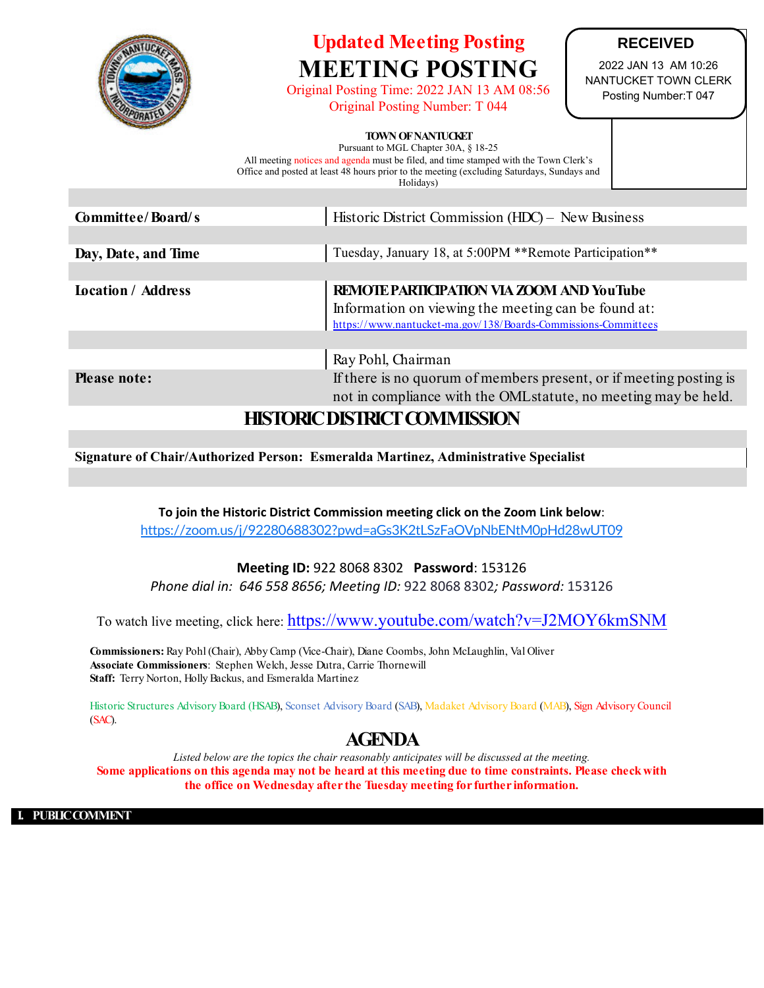

## **Updated Meeting Posting MEETING POSTING**

Original Posting Time: 2022 JAN 13 AM 08:56 Original Posting Number: T 044

**RECEIVED**

2022 JAN 13 AM 10:26 NANTUCKET TOWN CLERK Posting Number:T 047

## **TOWN OF NANTUCKET**

Pursuant to MGL Chapter 30A, § 18-25 All meeting notices and agenda must be filed, and time stamped with the Town Clerk's Office and posted at least 48 hours prior to the meeting (excluding Saturdays, Sundays and Holidays)

| Committee/Board/s         | Historic District Commission (HDC) – New Business                                                                                                                  |  |
|---------------------------|--------------------------------------------------------------------------------------------------------------------------------------------------------------------|--|
|                           |                                                                                                                                                                    |  |
| Day, Date, and Time       | Tuesday, January 18, at 5:00PM **Remote Participation**                                                                                                            |  |
|                           |                                                                                                                                                                    |  |
| <b>Location</b> / Address | REMOTE PARTICIPATION VIA ZOOM AND YouTube<br>Information on viewing the meeting can be found at:<br>https://www.nantucket-ma.gov/138/Boards-Commissions-Committees |  |
|                           |                                                                                                                                                                    |  |
|                           | Ray Pohl, Chairman                                                                                                                                                 |  |
| <b>Please note:</b>       | If there is no quorum of members present, or if meeting posting is                                                                                                 |  |
|                           | not in compliance with the OML statute, no meeting may be held.                                                                                                    |  |
|                           |                                                                                                                                                                    |  |

## **HISTORIC DISTRICT COMMISSION**

**Signature of Chair/Authorized Person: Esmeralda Martinez, Administrative Specialist**

To join the Historic District Commission meeting click on the Zoom Link below: https://zoom.us/j/92280688302?pwd=aGs3K2tLSzFaOVpNbENtM0pHd28wUT09

**Meeting ID: 922 8068 8302 Password: 153126** 

*Phone dial in: 646 558 8656; Meeting ID:* 922 8068 8302*; Password:* 153126

To watch live meeting, click here: https://www.youtube.com/watch?v=J2MOY6kmSNM

**Commissioners:** Ray Pohl (Chair), Abby Camp (Vice-Chair), Diane Coombs, John McLaughlin, Val Oliver **Associate Commissioners**: Stephen Welch, Jesse Dutra, Carrie Thornewill **Staff:** Terry Norton, Holly Backus, and Esmeralda Martinez

Historic Structures Advisory Board (HSAB), Sconset Advisory Board (SAB), Madaket Advisory Board (MAB), Sign Advisory Council (SAC).

## **AGENDA**

*Listed below are the topics the chair reasonably anticipates will be discussed at the meeting.* **Some applications on this agenda may not be heard at this meeting due to time constraints. Please check with the office on Wednesday after the Tuesday meeting for further information.**

**I. PUBLIC COMMENT**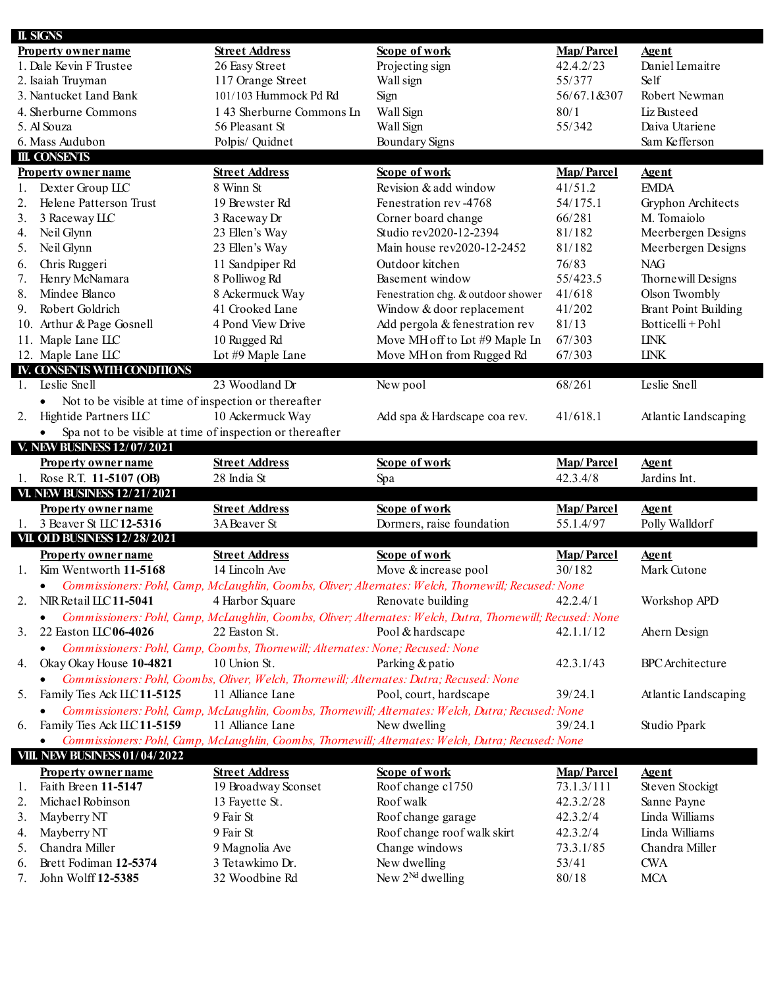| <b>II. SIGNS</b> |                                                                        |                                                                                          |                                                                                                            |                                 |                               |
|------------------|------------------------------------------------------------------------|------------------------------------------------------------------------------------------|------------------------------------------------------------------------------------------------------------|---------------------------------|-------------------------------|
|                  | <b>Property owner name</b>                                             | <b>Street Address</b>                                                                    | Scope of work                                                                                              | <b>Map/Parcel</b>               | <b>Agent</b>                  |
|                  | 1. Dale Kevin F Trustee                                                | 26 Easy Street                                                                           | Projecting sign                                                                                            | 42.4.2/23                       | Daniel Lemaitre               |
|                  | 2. Isaiah Truyman                                                      | 117 Orange Street                                                                        | Wall sign                                                                                                  | 55/377                          | Self                          |
|                  | 3. Nantucket Land Bank                                                 | 101/103 Hummock Pd Rd                                                                    | Sign                                                                                                       | 56/67.1&307                     | Robert Newman                 |
|                  | 4. Sherburne Commons                                                   | 143 Sherburne Commons In                                                                 | Wall Sign                                                                                                  | 80/1                            | Liz Busteed                   |
|                  | 5. Al Souza                                                            | 56 Pleasant St                                                                           | Wall Sign                                                                                                  | 55/342                          | Daiva Utariene                |
|                  | 6. Mass Audubon                                                        | Polpis/ Quidnet                                                                          | Boundary Signs                                                                                             |                                 | Sam Kefferson                 |
|                  | <b>III. CONSENTS</b>                                                   |                                                                                          |                                                                                                            |                                 |                               |
|                  | <b>Property owner name</b>                                             | <b>Street Address</b>                                                                    | Scope of work                                                                                              | <b>Map/Parcel</b>               | <b>Agent</b>                  |
| 1.               | Dexter Group LLC                                                       | 8 Winn St                                                                                | Revision & add window                                                                                      | 41/51.2                         | <b>EMDA</b>                   |
| 2.               | Helene Patterson Trust                                                 | 19 Brewster Rd                                                                           | Fenestration rev-4768                                                                                      | 54/175.1                        | Gryphon Architects            |
| 3.               | 3 Raceway LLC                                                          | 3 Raceway Dr                                                                             | Corner board change                                                                                        | 66/281                          | M. Tomaiolo                   |
| 4.               | Neil Glynn                                                             | 23 Ellen's Way                                                                           | Studio rev2020-12-2394                                                                                     | 81/182                          | Meerbergen Designs            |
| 5.               | Neil Glynn                                                             | 23 Ellen's Way                                                                           | Main house rev2020-12-2452                                                                                 | 81/182                          | Meerbergen Designs            |
| 6.               | Chris Ruggeri                                                          | 11 Sandpiper Rd                                                                          | Outdoor kitchen                                                                                            | 76/83                           | <b>NAG</b>                    |
| 7.               | Henry McNamara                                                         | 8 Polliwog Rd                                                                            | Basement window                                                                                            | 55/423.5                        | Thornewill Designs            |
| 8.               | Mindee Blanco                                                          | 8 Ackermuck Way                                                                          | Fenestration chg. & outdoor shower                                                                         | 41/618                          | Olson Twombly                 |
| 9.               | Robert Goldrich                                                        | 41 Crooked Lane                                                                          | Window & door replacement                                                                                  | 41/202                          | <b>Brant Point Building</b>   |
|                  | 10. Arthur & Page Gosnell                                              | 4 Pond View Drive                                                                        | Add pergola & fenestration rev                                                                             | 81/13                           | Botticelli+Pohl               |
|                  |                                                                        |                                                                                          |                                                                                                            |                                 |                               |
|                  | 11. Maple Lane LLC                                                     | 10 Rugged Rd                                                                             | Move MH off to Lot #9 Maple In                                                                             | 67/303                          | <b>LINK</b>                   |
|                  | 12. Maple Lane LLC                                                     | Lot #9 Maple Lane                                                                        | Move MH on from Rugged Rd                                                                                  | 67/303                          | <b>LINK</b>                   |
|                  | IV. CONSENTS WITH CONDITIONS                                           |                                                                                          |                                                                                                            |                                 |                               |
| 1.               | <b>Leslie Snell</b>                                                    | 23 Woodland Dr                                                                           | New pool                                                                                                   | 68/261                          | <b>Leslie Snell</b>           |
|                  | Not to be visible at time of inspection or thereafter<br>$\bullet$     |                                                                                          |                                                                                                            |                                 |                               |
| 2.               | Hightide Partners LLC                                                  | 10 Ackermuck Way                                                                         | Add spa & Hardscape coa rev.                                                                               | 41/618.1                        | Atlantic Landscaping          |
|                  | Spa not to be visible at time of inspection or thereafter<br>$\bullet$ |                                                                                          |                                                                                                            |                                 |                               |
|                  | V. NEW BUSINESS 12/07/2021                                             |                                                                                          |                                                                                                            |                                 |                               |
|                  |                                                                        |                                                                                          |                                                                                                            |                                 |                               |
|                  | <b>Property owner name</b>                                             | <b>Street Address</b>                                                                    | Scope of work                                                                                              | <b>Map/Parcel</b>               | <b>Agent</b>                  |
| 1.               | Rose R.T. 11-5107 (OB)                                                 | 28 India St                                                                              | Spa                                                                                                        | 42.3.4/8                        | Jardins Int.                  |
|                  | <b>VI. NEW BUSINESS 12/21/2021</b>                                     |                                                                                          |                                                                                                            |                                 |                               |
|                  |                                                                        |                                                                                          |                                                                                                            |                                 |                               |
| 1.               | <b>Property owner name</b><br>3 Beaver St ILC12-5316                   | <b>Street Address</b><br>3ABeaver St                                                     | Scope of work                                                                                              | <b>Map/Parcel</b><br>55.1.4/97  | <b>Agent</b>                  |
|                  |                                                                        |                                                                                          | Dormers, raise foundation                                                                                  |                                 | Polly Walldorf                |
|                  | <b>VII. OLD BUSINESS 12/28/2021</b>                                    |                                                                                          |                                                                                                            |                                 |                               |
|                  | <b>Property owner name</b>                                             | <b>Street Address</b>                                                                    | Scope of work                                                                                              | <b>Map/Parcel</b>               | <b>Agent</b>                  |
| 1.               | Kim Wentworth 11-5168                                                  | 14 Lincoln Ave                                                                           | Move & increase pool                                                                                       | 30/182                          | Mark Cutone                   |
|                  | $\bullet$                                                              |                                                                                          | Commissioners: Pohl, Camp, McLaughlin, Coombs, Oliver; Alternates: Welch, Thornewill; Recused: None        |                                 |                               |
| 2.               | NIR Retail ILC 11-5041                                                 | 4 Harbor Square                                                                          | Renovate building                                                                                          | 42.2.4/1                        | Workshop APD                  |
|                  |                                                                        |                                                                                          | Commissioners: Pohl, Camp, McLaughlin, Coombs, Oliver; Alternates: Welch, Dutra, Thornewill; Recused: None |                                 |                               |
| 3.               | 22 Easton IIC06-4026                                                   | 22 Easton St.                                                                            | Pool & hardscape                                                                                           | 42.1.1/12                       | Ahern Design                  |
|                  | $\bullet$                                                              | Commissioners: Pohl, Camp, Coombs, Thornewill; Alternates: None; Recused: None           |                                                                                                            |                                 |                               |
| 4.               | Okay Okay House 10-4821                                                | 10 Union St.                                                                             | Parking & patio                                                                                            | 42.3.1/43                       | <b>BPC</b> Architecture       |
|                  | $\bullet$                                                              | Commissioners: Pohl, Coombs, Oliver, Welch, Thornewill; Alternates: Dutra; Recused: None |                                                                                                            |                                 |                               |
| 5.               | Family Ties Ack ILC 11-5125                                            | 11 Alliance Lane                                                                         | Pool, court, hardscape                                                                                     | 39/24.1                         | Atlantic Landscaping          |
|                  | $\bullet$                                                              |                                                                                          | Commissioners: Pohl, Camp, McLaughlin, Coombs, Thornewill; Alternates: Welch, Dutra; Recused: None         |                                 |                               |
| 6.               | Family Ties Ack LLC 11-5159                                            | 11 Alliance Lane                                                                         | New dwelling                                                                                               | 39/24.1                         | Studio Ppark                  |
|                  | $\bullet$                                                              |                                                                                          | Commissioners: Pohl, Camp, McLaughlin, Coombs, Thornewill; Alternates: Welch, Dutra; Recused: None         |                                 |                               |
|                  | <b>VIII. NEW BUSINESS 01/04/2022</b>                                   |                                                                                          |                                                                                                            |                                 |                               |
|                  | <b>Property owner name</b>                                             | <b>Street Address</b>                                                                    | Scope of work                                                                                              |                                 | <b>Agent</b>                  |
| 1.               | Faith Breen 11-5147                                                    |                                                                                          |                                                                                                            | <b>Map/Parcel</b><br>73.1.3/111 |                               |
| 2.               | Michael Robinson                                                       | 19 Broadway Sconset                                                                      | Roof change c1750<br>Roof walk                                                                             | 42.3.2/28                       | Steven Stockigt               |
| 3.               |                                                                        | 13 Fayette St.<br>9 Fair St                                                              |                                                                                                            |                                 | Sanne Payne<br>Linda Williams |
|                  | Mayberry NT                                                            |                                                                                          | Roof change garage                                                                                         | 42.3.2/4                        |                               |
| 4.               | Mayberry NT                                                            | 9 Fair St                                                                                | Roof change roof walk skirt                                                                                | 42.3.2/4                        | Linda Williams                |
| 5.               | Chandra Miller                                                         | 9 Magnolia Ave                                                                           | Change windows                                                                                             | 73.3.1/85                       | Chandra Miller                |
| 6.<br>7.         | Brett Fodiman 12-5374<br>John Wolff 12-5385                            | 3 Tetawkimo Dr.<br>32 Woodbine Rd                                                        | New dwelling<br>New $2^{Nd}$ dwelling                                                                      | 53/41<br>80/18                  | <b>CWA</b><br><b>MCA</b>      |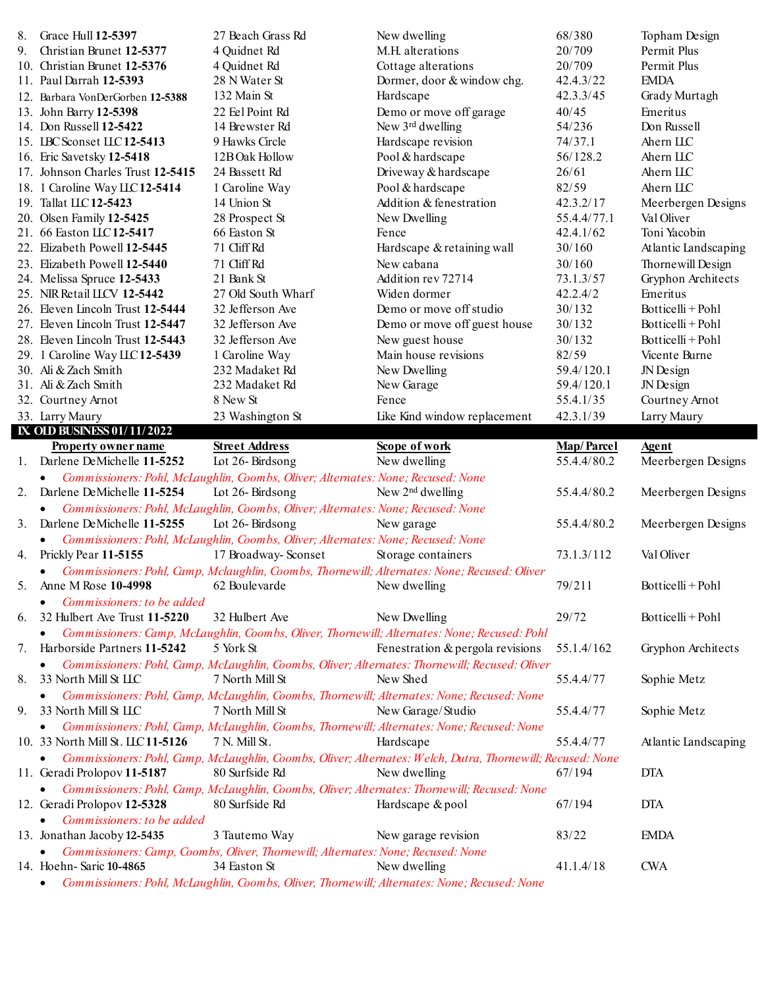| 8. | Grace Hull 12-5397                | 27 Beach Grass Rd                                                                | New dwelling                                                                                                 | 68/380            | Topham Design        |
|----|-----------------------------------|----------------------------------------------------------------------------------|--------------------------------------------------------------------------------------------------------------|-------------------|----------------------|
| 9. | Christian Brunet 12-5377          | 4 Quidnet Rd                                                                     | M.H. alterations                                                                                             | 20/709            | Permit Plus          |
|    | 10. Christian Brunet 12-5376      | 4 Quidnet Rd                                                                     | Cottage alterations                                                                                          | 20/709            | Permit Plus          |
|    | 11. Paul Darrah 12-5393           | 28 N Water St                                                                    | Dormer, door & window chg.                                                                                   | 42.4.3/22         | <b>EMDA</b>          |
|    | 12. Barbara VonDerGorben 12-5388  | 132 Main St                                                                      | Hardscape                                                                                                    | 42.3.3/45         | Grady Murtagh        |
|    | 13. John Barry 12-5398            | 22 Eel Point Rd                                                                  | Demo or move off garage                                                                                      | 40/45             | Emeritus             |
|    | 14. Don Russell 12-5422           | 14 Brewster Rd                                                                   | New 3rd dwelling                                                                                             | 54/236            | Don Russell          |
|    | 15. IBC Sconset ILC 12-5413       | 9 Hawks Circle                                                                   | Hardscape revision                                                                                           | 74/37.1           | Ahern IIC            |
|    | 16. Eric Savetsky 12-5418         | 12B Oak Hollow                                                                   | Pool & hardscape                                                                                             | 56/128.2          | Ahern ILC            |
|    | 17. Johnson Charles Trust 12-5415 | 24 Bassett Rd                                                                    | Driveway & hardscape                                                                                         | 26/61             | Ahern ILC            |
|    | 18. 1 Caroline Way LLC 12-5414    | 1 Caroline Way                                                                   | Pool & hardscape                                                                                             | 82/59             | Ahern IIC            |
|    | 19. Tallat ILC12-5423             | 14 Union St                                                                      | Addition & fenestration                                                                                      | 42.3.2/17         | Meerbergen Designs   |
|    | 20. Olsen Family 12-5425          | 28 Prospect St                                                                   | New Dwelling                                                                                                 | 55.4.4/77.1       | Val Oliver           |
|    | 21. 66 Easton LLC 12-5417         | 66 Easton St                                                                     | Fence                                                                                                        | 42.4.1/62         | Toni Yacobin         |
|    | 22. Elizabeth Powell 12-5445      | 71 Cliff Rd                                                                      | Hardscape & retaining wall                                                                                   | 30/160            | Atlantic Landscaping |
|    | 23. Elizabeth Powell 12-5440      | 71 Cliff Rd                                                                      | New cabana                                                                                                   | 30/160            | Thornewill Design    |
|    | 24. Melissa Spruce 12-5433        | 21 Bank St                                                                       | Addition rev 72714                                                                                           | 73.1.3/57         | Gryphon Architects   |
|    | 25. NIR Retail LLCV 12-5442       | 27 Old South Wharf                                                               | Widen dormer                                                                                                 | 42.2.4/2          | Emeritus             |
|    | 26. Eleven Lincoln Trust 12-5444  | 32 Jefferson Ave                                                                 | Demo or move off studio                                                                                      | 30/132            | Botticelli + Pohl    |
|    | 27. Eleven Lincoln Trust 12-5447  | 32 Jefferson Ave                                                                 | Demo or move off guest house                                                                                 | 30/132            | Botticelli + Pohl    |
|    | 28. Eleven Lincoln Trust 12-5443  | 32 Jefferson Ave                                                                 | New guest house                                                                                              | 30/132            | Botticelli + Pohl    |
|    | 29. 1 Caroline Way LLC 12-5439    | 1 Caroline Way                                                                   | Main house revisions                                                                                         | 82/59             | Vicente Burne        |
|    | 30. Ali & Zach Smith              | 232 Madaket Rd                                                                   | New Dwelling                                                                                                 | 59.4/120.1        | JN Design            |
|    | 31. Ali & Zach Smith              | 232 Madaket Rd                                                                   | New Garage                                                                                                   | 59.4/120.1        | JN Design            |
|    | 32. Courtney Arnot                | 8 New St                                                                         | Fence                                                                                                        | 55.4.1/35         | Courtney Arnot       |
|    | 33. Larry Maury                   | 23 Washington St                                                                 | Like Kind window replacement                                                                                 | 42.3.1/39         | Larry Maury          |
|    | IX, OLD BUSINESS 01/11/2022       |                                                                                  |                                                                                                              |                   |                      |
|    | <b>Property owner name</b>        | <b>Street Address</b>                                                            | Scope of work                                                                                                | <b>Map/Parcel</b> | <u>Agent</u>         |
|    |                                   |                                                                                  |                                                                                                              |                   |                      |
|    |                                   |                                                                                  |                                                                                                              |                   |                      |
|    | 1. Darlene DeMichelle 11-5252     | Lot 26-Birdsong                                                                  | New dwelling                                                                                                 | 55.4.4/80.2       | Meerbergen Designs   |
|    | $\bullet$                         | Commissioners: Pohl, McLaughlin, Coombs, Oliver; Alternates: None; Recused: None |                                                                                                              |                   |                      |
| 2. | Darlene DeMichelle 11-5254        | Lot 26-Birdsong                                                                  | New $2nd$ dwelling                                                                                           | 55.4.4/80.2       | Meerbergen Designs   |
|    |                                   | Commissioners: Pohl, McLaughlin, Coombs, Oliver; Alternates: None; Recused: None |                                                                                                              |                   |                      |
| 3. | Darlene DeMichelle 11-5255        | Lot 26-Birdsong                                                                  | New garage                                                                                                   | 55.4.4/80.2       | Meerbergen Designs   |
|    | ٠                                 | Commissioners: Pohl, McLaughlin, Coombs, Oliver; Alternates: None; Recused: None |                                                                                                              |                   |                      |
| 4. | Prickly Pear 11-5155              | 17 Broadway-Sconset                                                              | Storage containers                                                                                           | 73.1.3/112        | Val Oliver           |
|    |                                   |                                                                                  | Commissioners: Pohl, Camp, Mclaughlin, Coombs, Thornewill; Alternates: None; Recused: Oliver                 |                   |                      |
|    | Anne M Rose 10-4998               | 62 Boulevarde                                                                    | New dwelling                                                                                                 | 79/211            | Botticelli + Pohl    |
|    | <i>Commissioners: to be added</i> |                                                                                  |                                                                                                              |                   |                      |
| 6. | 32 Hulbert Ave Trust 11-5220      | 32 Hulbert Ave                                                                   | New Dwelling                                                                                                 | 29/72             | Botticelli + Pohl    |
|    | $\bullet$                         |                                                                                  | Commissioners: Camp, McLaughlin, Coombs, Oliver, Thornewill; Alternates: None; Recused: Pohl                 |                   |                      |
| 7. | Harborside Partners 11-5242       | 5 York St                                                                        | Fenestration & pergola revisions                                                                             | 55.1.4/162        | Gryphon Architects   |
|    |                                   |                                                                                  | Commissioners: Pohl, Camp, McLaughlin, Coombs, Oliver; Alternates: Thornewill; Recused: Oliver               |                   |                      |
| 8. | 33 North Mill St LLC              | 7 North Mill St                                                                  | New Shed                                                                                                     | 55.4.4/77         | Sophie Metz          |
|    |                                   |                                                                                  | Commissioners: Pohl, Camp, McLaughlin, Coombs, Thornewill; Alternates: None; Recused: None                   |                   |                      |
| 9. | 33 North Mill St LLC              | 7 North Mill St                                                                  | New Garage/Studio                                                                                            | 55.4.4/77         | Sophie Metz          |
|    |                                   |                                                                                  | Commissioners: Pohl, Camp, McLaughlin, Coombs, Thornewill; Alternates: None; Recused: None                   |                   |                      |
|    | 10. 33 North Mill St. LLC 11-5126 | 7 N. Mill St.                                                                    | Hardscape                                                                                                    | 55.4.4/77         | Atlantic Landscaping |
|    |                                   |                                                                                  | Commissioners: Pohl, Camp, McLaughlin, Coombs, Oliver; Alternates: Welch, Dutra, Thornewill; Recused: None   |                   |                      |
|    | 11. Geradi Prolopov 11-5187       | 80 Surfside Rd                                                                   | New dwelling                                                                                                 | 67/194            | <b>DTA</b>           |
|    |                                   |                                                                                  | Commissioners: Pohl, Camp, McLaughlin, Coombs, Oliver; Alternates: Thornewill; Recused: None                 |                   |                      |
|    | 12. Geradi Prolopov 12-5328       | 80 Surfside Rd                                                                   | Hardscape & pool                                                                                             | 67/194            | <b>DTA</b>           |
|    | Commissioners: to be added        |                                                                                  |                                                                                                              |                   |                      |
|    | 13. Jonathan Jacoby 12-5435       | 3 Tautemo Way                                                                    | New garage revision                                                                                          | 83/22             | <b>EMDA</b>          |
|    |                                   | Commissioners: Camp, Coombs, Oliver, Thornewill; Alternates: None; Recused: None |                                                                                                              |                   |                      |
|    | 14. Hoehn-Saric 10-4865           | 34 Easton St                                                                     | New dwelling<br>Commissioners: Pohl, McLaughlin, Coombs, Oliver, Thornewill; Alternates: None; Recused: None | 41.1.4/18         | <b>CWA</b>           |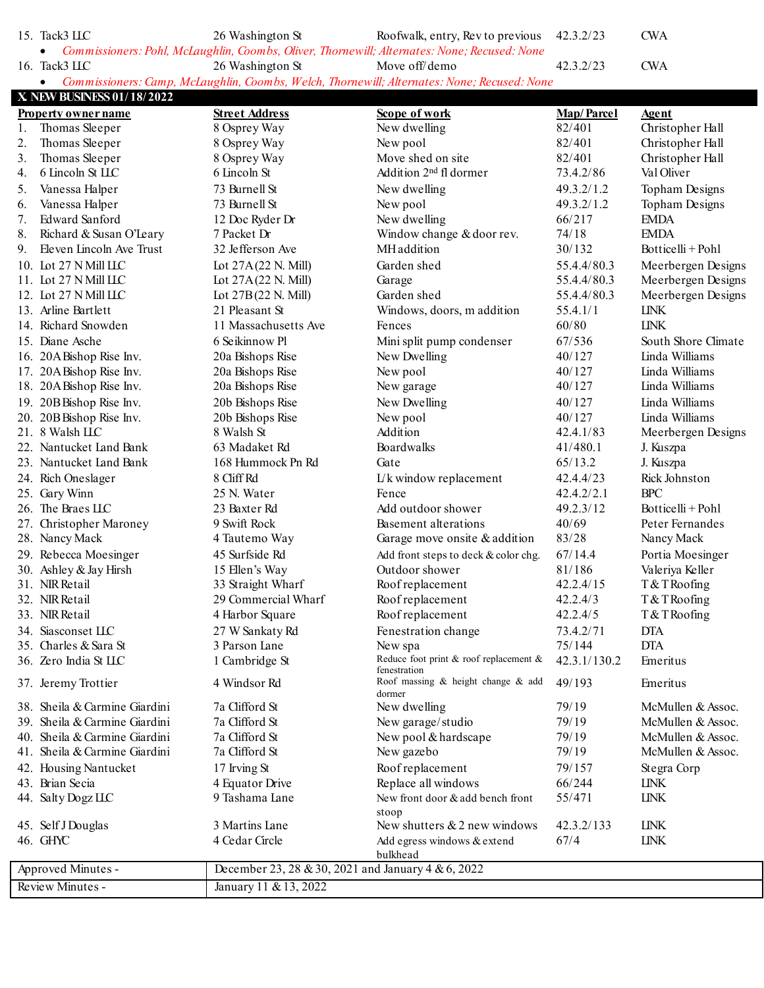15. Tack3 LLC 26 Washington St Roofwalk, entry, Rev to previous 42.3.2/23 CWA • *Commissioners: Pohl, McLaughlin, Coombs, Oliver, Thornewill; Alternates: None; Recused: None*

16. Tack3 LLC 26 Washington St Move off/demo 42.3.2/23 CWA

• *Commissioners: Camp, McLaughlin, Coombs, Welch, Thornewill; Alternates: None; Recused: None*

|     | X NEW BUSINESS 01/18/2022     |                                                    |                                                              |                   |                     |
|-----|-------------------------------|----------------------------------------------------|--------------------------------------------------------------|-------------------|---------------------|
|     | <b>Property owner name</b>    | <b>Street Address</b>                              | Scope of work                                                | <b>Map/Parcel</b> | <b>Agent</b>        |
| 1.  | Thomas Sleeper                | 8 Osprey Way                                       | New dwelling                                                 | 82/401            | Christopher Hall    |
| 2.  | Thomas Sleeper                | 8 Osprey Way                                       | New pool                                                     | 82/401            | Christopher Hall    |
| 3.  | Thomas Sleeper                | 8 Osprey Way                                       | Move shed on site                                            | 82/401            | Christopher Hall    |
| 4.  | 6 Lincoln St LLC              | 6 Lincoln St                                       | Addition 2 <sup>nd</sup> fl dormer                           | 73.4.2/86         | Val Oliver          |
| 5.  | Vanessa Halper                | 73 Burnell St                                      | New dwelling                                                 | 49.3.2/1.2        | Topham Designs      |
| 6.  | Vanessa Halper                | 73 Burnell St                                      | New pool                                                     | 49.3.2/1.2        | Topham Designs      |
| 7.  | Edward Sanford                | 12 Doc Ryder Dr                                    | New dwelling                                                 | 66/217            | <b>EMDA</b>         |
| 8.  | Richard & Susan O'Leary       | 7 Packet Dr                                        | Window change & door rev.                                    | 74/18             | <b>EMDA</b>         |
| 9.  | Eleven Lincoln Ave Trust      | 32 Jefferson Ave                                   | MH addition                                                  | 30/132            | Botticelli+Pohl     |
|     | 10. Lot 27 N Mill LLC         | Lot 27A(22 N. Mill)                                | Garden shed                                                  | 55.4.4/80.3       | Meerbergen Designs  |
| 11. | Lot 27 N Mill LLC             | Lot 27A(22 N. Mill)                                | Garage                                                       | 55.4.4/80.3       | Meerbergen Designs  |
|     | 12. Lot 27 N Mill LLC         | Lot 27B(22 N. Mill)                                | Garden shed                                                  | 55.4.4/80.3       | Meerbergen Designs  |
|     | 13. Arline Bartlett           | 21 Pleasant St                                     | Windows, doors, m addition                                   | 55.4.1/1          | <b>IJNK</b>         |
|     | 14. Richard Snowden           | 11 Massachusetts Ave                               | Fences                                                       | 60/80             | <b>LINK</b>         |
|     | 15. Diane Asche               | 6 Seikinnow Pl                                     | Mini split pump condenser                                    | 67/536            | South Shore Climate |
|     | 16. 20A Bishop Rise Inv.      | 20a Bishops Rise                                   | New Dwelling                                                 | 40/127            | Linda Williams      |
|     | 17. 20ABishop Rise Inv.       | 20a Bishops Rise                                   | New pool                                                     | 40/127            | Linda Williams      |
|     | 18. 20A Bishop Rise Inv.      | 20a Bishops Rise                                   | New garage                                                   | 40/127            | Linda Williams      |
|     | 19. 20B Bishop Rise Inv.      | 20b Bishops Rise                                   | New Dwelling                                                 | 40/127            | Linda Williams      |
|     | 20. 20B Bishop Rise Inv.      | 20b Bishops Rise                                   | New pool                                                     | 40/127            | Linda Williams      |
|     | 21. 8 Walsh LLC               | 8 Walsh St                                         | Addition                                                     | 42.4.1/83         | Meerbergen Designs  |
|     | 22. Nantucket Land Bank       | 63 Madaket Rd                                      | Boardwalks                                                   | 41/480.1          | J. Kuszpa           |
|     | 23. Nantucket Land Bank       | 168 Hummock Pn Rd                                  | Gate                                                         | 65/13.2           | J. Kuszpa           |
|     | 24. Rich Oneslager            | 8 Cliff Rd                                         | $L/k$ window replacement                                     | 42.4.4/23         | Rick Johnston       |
|     | 25. Gary Winn                 | 25 N. Water                                        | Fence                                                        | 42.4.2/2.1        | <b>BPC</b>          |
|     | 26. The Braes LLC             | 23 Baxter Rd                                       | Add outdoor shower                                           | 49.2.3/12         | Botticelli + Pohl   |
| 27. | Christopher Maroney           | 9 Swift Rock                                       | Basement alterations                                         | 40/69             | Peter Fernandes     |
|     | 28. Nancy Mack                | 4 Tautemo Way                                      | Garage move onsite & addition                                | 83/28             | Nancy Mack          |
|     | 29. Rebecca Moesinger         | 45 Surfside Rd                                     | Add front steps to deck & color chg.                         | 67/14.4           | Portia Moesinger    |
|     | 30. Ashley & Jay Hirsh        | 15 Ellen's Way                                     | Outdoor shower                                               | 81/186            | Valeriya Keller     |
|     | 31. NIR Retail                | 33 Straight Wharf                                  | Roof replacement                                             | 42.2.4/15         | T&TRoofing          |
|     | 32. NIR Retail                | 29 Commercial Wharf                                | Roof replacement                                             | 42.2.4/3          | T&TRoofing          |
|     | 33. NIR Retail                | 4 Harbor Square                                    | Roof replacement                                             | 42.2.4/5          | T&TRoofing          |
|     | 34. Siasconset IIC            | 27 W Sankaty Rd                                    | Fenestration change                                          | 73.4.2/71         | <b>DTA</b>          |
|     | 35. Charles & Sara St         | 3 Parson Lane                                      | New spa                                                      | 75/144            | <b>DTA</b>          |
|     | 36. Zero India St LLC         | 1 Cambridge St                                     | Reduce foot print & roof replacement &                       | 42.3.1/130.2      | Emeritus            |
|     | 37. Jeremy Trottier           | 4 Windsor Rd                                       | fenestration<br>Roof massing & height change & add<br>dormer | 49/193            | Emeritus            |
|     | 38. Sheila & Carmine Giardini | 7a Clifford St                                     | New dwelling                                                 | 79/19             | McMullen & Assoc.   |
|     | 39. Sheila & Carmine Giardini | 7a Clifford St                                     | New garage/studio                                            | 79/19             | McMullen & Assoc.   |
| 40. | Sheila & Carmine Giardini     | 7a Clifford St                                     | New pool & hardscape                                         | 79/19             | McMullen & Assoc.   |
| 41. | Sheila & Carmine Giardini     | 7a Clifford St                                     | New gazebo                                                   | 79/19             | McMullen & Assoc.   |
|     | 42. Housing Nantucket         | 17 Irving St                                       | Roof replacement                                             | 79/157            | Stegra Corp         |
|     | 43. Brian Secia               | 4 Equator Drive                                    | Replace all windows                                          | 66/244            | <b>LINK</b>         |
|     | 44. Salty Dogz LLC            | 9 Tashama Lane                                     | New front door & add bench front                             | 55/471            | <b>LINK</b>         |
|     |                               |                                                    | stoop                                                        |                   |                     |
|     | 45. Self J Douglas            | 3 Martins Lane                                     | New shutters $& 2$ new windows                               | 42.3.2/133        | <b>LINK</b>         |
|     | 46. GHYC                      | 4 Cedar Circle                                     | Add egress windows & extend                                  | 67/4              | <b>LINK</b>         |
|     |                               |                                                    | bulkhead                                                     |                   |                     |
|     | Approved Minutes -            | December 23, 28 & 30, 2021 and January 4 & 6, 2022 |                                                              |                   |                     |
|     | Review Minutes -              | January 11 & 13, 2022                              |                                                              |                   |                     |
|     |                               |                                                    |                                                              |                   |                     |